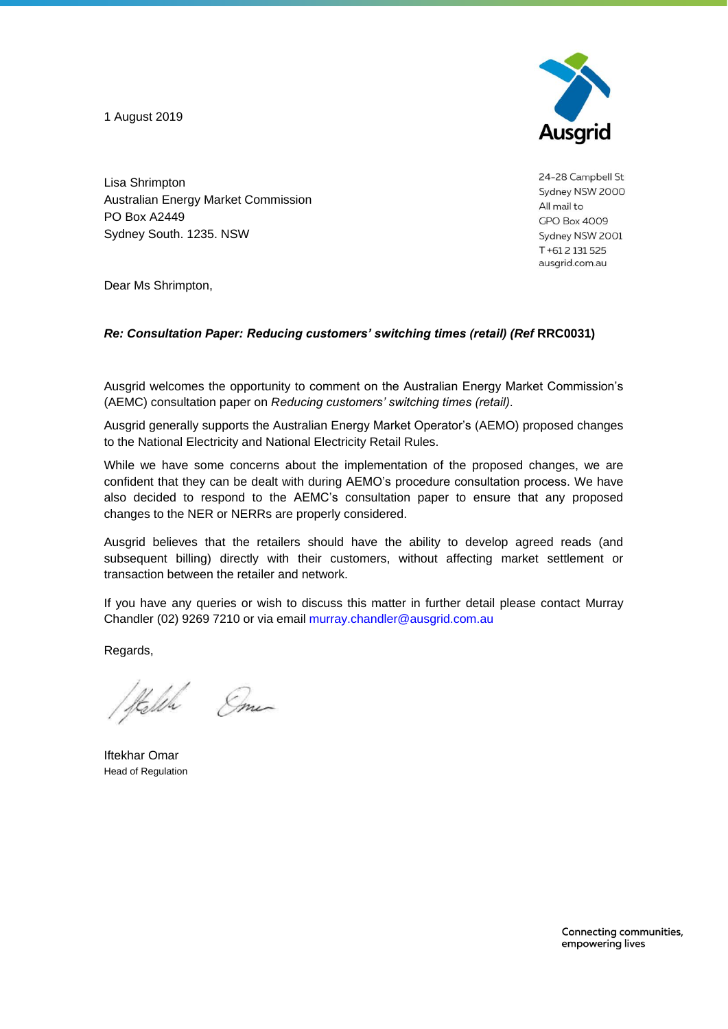1 August 2019



24-28 Campbell St Sydney NSW 2000 All mail to **GPO Box 4009** Sydney NSW 2001 T+612131525 ausgrid.com.au

Lisa Shrimpton Australian Energy Market Commission PO Box A2449 Sydney South. 1235. NSW

Dear Ms Shrimpton,

## *Re: Consultation Paper: Reducing customers' switching times (retail) (Ref* **RRC0031)**

Ausgrid welcomes the opportunity to comment on the Australian Energy Market Commission's (AEMC) consultation paper on *Reducing customers' switching times (retail)*.

Ausgrid generally supports the Australian Energy Market Operator's (AEMO) proposed changes to the National Electricity and National Electricity Retail Rules.

While we have some concerns about the implementation of the proposed changes, we are confident that they can be dealt with during AEMO's procedure consultation process. We have also decided to respond to the AEMC's consultation paper to ensure that any proposed changes to the NER or NERRs are properly considered.

Ausgrid believes that the retailers should have the ability to develop agreed reads (and subsequent billing) directly with their customers, without affecting market settlement or transaction between the retailer and network.

If you have any queries or wish to discuss this matter in further detail please contact Murray Chandler (02) 9269 7210 or via email murray.chandler@ausgrid.com.au

Regards,

Hella Eme

Iftekhar Omar Head of Regulation

Connecting communities, empowering lives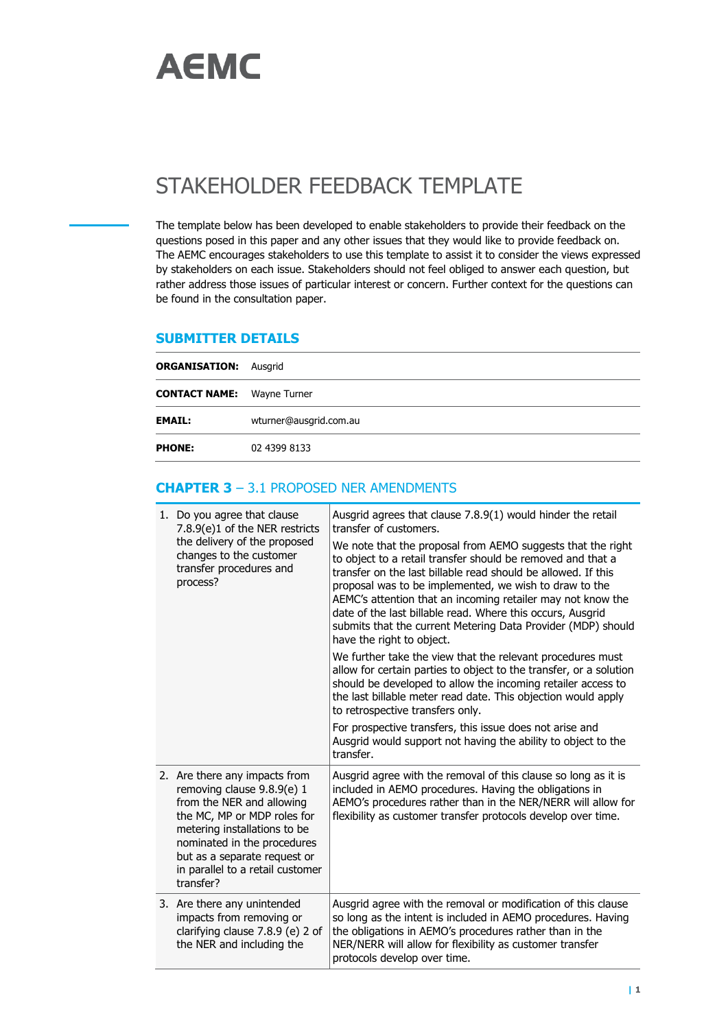

## STAKEHOLDER FEEDBACK TEMPLATE

The template below has been developed to enable stakeholders to provide their feedback on the questions posed in this paper and any other issues that they would like to provide feedback on. The AEMC encourages stakeholders to use this template to assist it to consider the views expressed by stakeholders on each issue. Stakeholders should not feel obliged to answer each question, but rather address those issues of particular interest or concern. Further context for the questions can be found in the consultation paper.

## **SUBMITTER DETAILS**

| <b>ORGANISATION: Ausgrid</b>      |                        |  |
|-----------------------------------|------------------------|--|
| <b>CONTACT NAME:</b> Wayne Turner |                        |  |
| <b>EMAIL:</b>                     | wturner@ausgrid.com.au |  |
| <b>PHONE:</b>                     | 02 4399 8133           |  |

## **CHAPTER 3** – 3.1 PROPOSED NER AMENDMENTS

| 1. Do you agree that clause<br>7.8.9(e)1 of the NER restricts<br>the delivery of the proposed<br>changes to the customer<br>transfer procedures and<br>process?                                                                                                         | Ausgrid agrees that clause 7.8.9(1) would hinder the retail<br>transfer of customers.<br>We note that the proposal from AEMO suggests that the right<br>to object to a retail transfer should be removed and that a<br>transfer on the last billable read should be allowed. If this<br>proposal was to be implemented, we wish to draw to the<br>AEMC's attention that an incoming retailer may not know the<br>date of the last billable read. Where this occurs, Ausgrid<br>submits that the current Metering Data Provider (MDP) should<br>have the right to object.<br>We further take the view that the relevant procedures must<br>allow for certain parties to object to the transfer, or a solution<br>should be developed to allow the incoming retailer access to<br>the last billable meter read date. This objection would apply<br>to retrospective transfers only.<br>For prospective transfers, this issue does not arise and<br>Ausgrid would support not having the ability to object to the<br>transfer. |
|-------------------------------------------------------------------------------------------------------------------------------------------------------------------------------------------------------------------------------------------------------------------------|-----------------------------------------------------------------------------------------------------------------------------------------------------------------------------------------------------------------------------------------------------------------------------------------------------------------------------------------------------------------------------------------------------------------------------------------------------------------------------------------------------------------------------------------------------------------------------------------------------------------------------------------------------------------------------------------------------------------------------------------------------------------------------------------------------------------------------------------------------------------------------------------------------------------------------------------------------------------------------------------------------------------------------|
| 2. Are there any impacts from<br>removing clause 9.8.9(e) 1<br>from the NER and allowing<br>the MC, MP or MDP roles for<br>metering installations to be<br>nominated in the procedures<br>but as a separate request or<br>in parallel to a retail customer<br>transfer? | Ausgrid agree with the removal of this clause so long as it is<br>included in AEMO procedures. Having the obligations in<br>AEMO's procedures rather than in the NER/NERR will allow for<br>flexibility as customer transfer protocols develop over time.                                                                                                                                                                                                                                                                                                                                                                                                                                                                                                                                                                                                                                                                                                                                                                   |
| 3. Are there any unintended<br>impacts from removing or<br>clarifying clause 7.8.9 (e) 2 of<br>the NER and including the                                                                                                                                                | Ausgrid agree with the removal or modification of this clause<br>so long as the intent is included in AEMO procedures. Having<br>the obligations in AEMO's procedures rather than in the<br>NER/NERR will allow for flexibility as customer transfer<br>protocols develop over time.                                                                                                                                                                                                                                                                                                                                                                                                                                                                                                                                                                                                                                                                                                                                        |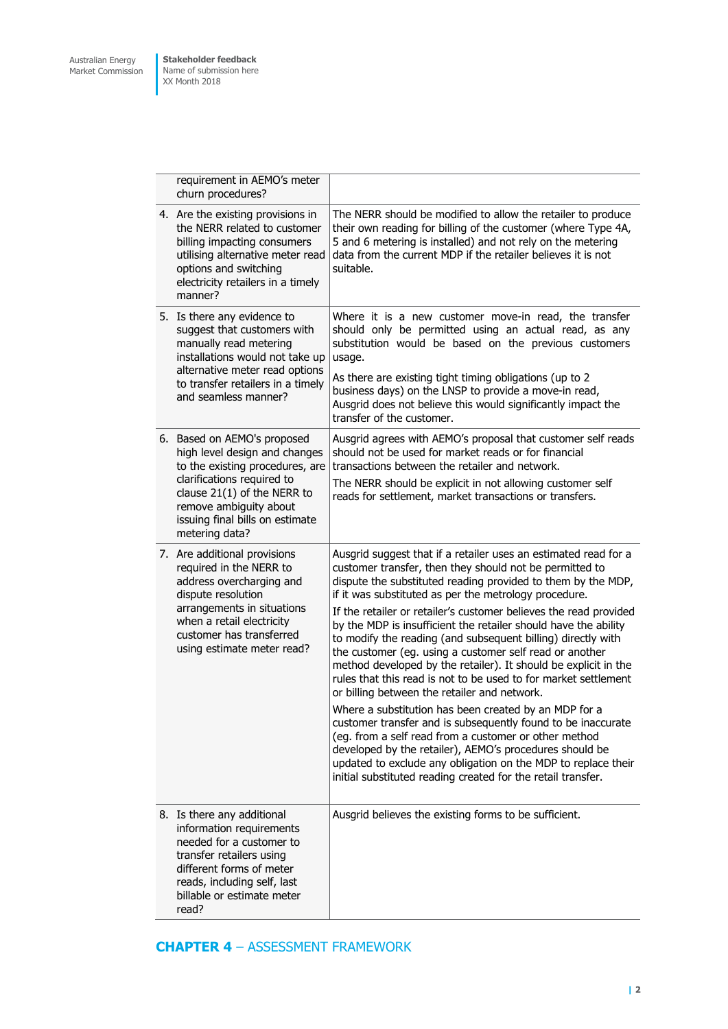**Stakeholder feedback** Name of submission here XX Month 2018

| requirement in AEMO's meter<br>churn procedures?                                                                                                                                                                                              |                                                                                                                                                                                                                                                                                                                                                                                                                                                                                                                                                                                                                                                                                                                                                                                                                                                                                                                                                                                                                                                                                            |
|-----------------------------------------------------------------------------------------------------------------------------------------------------------------------------------------------------------------------------------------------|--------------------------------------------------------------------------------------------------------------------------------------------------------------------------------------------------------------------------------------------------------------------------------------------------------------------------------------------------------------------------------------------------------------------------------------------------------------------------------------------------------------------------------------------------------------------------------------------------------------------------------------------------------------------------------------------------------------------------------------------------------------------------------------------------------------------------------------------------------------------------------------------------------------------------------------------------------------------------------------------------------------------------------------------------------------------------------------------|
| 4. Are the existing provisions in<br>the NERR related to customer<br>billing impacting consumers<br>utilising alternative meter read<br>options and switching<br>electricity retailers in a timely<br>manner?                                 | The NERR should be modified to allow the retailer to produce<br>their own reading for billing of the customer (where Type 4A,<br>5 and 6 metering is installed) and not rely on the metering<br>data from the current MDP if the retailer believes it is not<br>suitable.                                                                                                                                                                                                                                                                                                                                                                                                                                                                                                                                                                                                                                                                                                                                                                                                                  |
| 5. Is there any evidence to<br>suggest that customers with<br>manually read metering<br>installations would not take up<br>alternative meter read options<br>to transfer retailers in a timely<br>and seamless manner?                        | Where it is a new customer move-in read, the transfer<br>should only be permitted using an actual read, as any<br>substitution would be based on the previous customers<br>usage.<br>As there are existing tight timing obligations (up to 2<br>business days) on the LNSP to provide a move-in read,<br>Ausgrid does not believe this would significantly impact the<br>transfer of the customer.                                                                                                                                                                                                                                                                                                                                                                                                                                                                                                                                                                                                                                                                                         |
| 6. Based on AEMO's proposed<br>high level design and changes<br>to the existing procedures, are<br>clarifications required to<br>clause $21(1)$ of the NERR to<br>remove ambiguity about<br>issuing final bills on estimate<br>metering data? | Ausgrid agrees with AEMO's proposal that customer self reads<br>should not be used for market reads or for financial<br>transactions between the retailer and network.<br>The NERR should be explicit in not allowing customer self<br>reads for settlement, market transactions or transfers.                                                                                                                                                                                                                                                                                                                                                                                                                                                                                                                                                                                                                                                                                                                                                                                             |
| 7. Are additional provisions<br>required in the NERR to<br>address overcharging and<br>dispute resolution<br>arrangements in situations<br>when a retail electricity<br>customer has transferred<br>using estimate meter read?                | Ausgrid suggest that if a retailer uses an estimated read for a<br>customer transfer, then they should not be permitted to<br>dispute the substituted reading provided to them by the MDP,<br>if it was substituted as per the metrology procedure.<br>If the retailer or retailer's customer believes the read provided<br>by the MDP is insufficient the retailer should have the ability<br>to modify the reading (and subsequent billing) directly with<br>the customer (eg. using a customer self read or another<br>method developed by the retailer). It should be explicit in the<br>rules that this read is not to be used to for market settlement<br>or billing between the retailer and network.<br>Where a substitution has been created by an MDP for a<br>customer transfer and is subsequently found to be inaccurate<br>(eg. from a self read from a customer or other method<br>developed by the retailer), AEMO's procedures should be<br>updated to exclude any obligation on the MDP to replace their<br>initial substituted reading created for the retail transfer. |
| 8. Is there any additional<br>information requirements<br>needed for a customer to<br>transfer retailers using<br>different forms of meter<br>reads, including self, last<br>billable or estimate meter<br>read?                              | Ausgrid believes the existing forms to be sufficient.                                                                                                                                                                                                                                                                                                                                                                                                                                                                                                                                                                                                                                                                                                                                                                                                                                                                                                                                                                                                                                      |

**CHAPTER 4** – ASSESSMENT FRAMEWORK